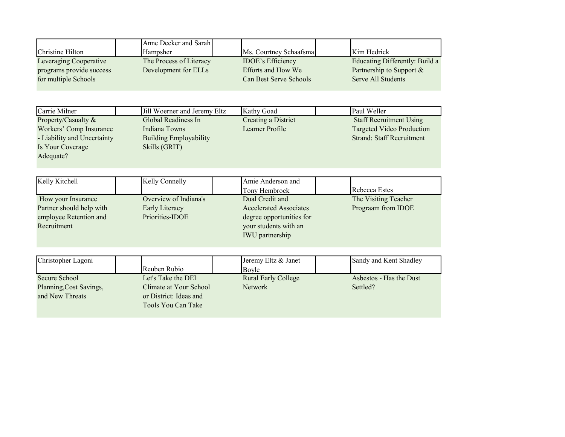|                             | Anne Decker and Sarah         |                               |                                  |
|-----------------------------|-------------------------------|-------------------------------|----------------------------------|
| Christine Hilton            | Hampsher                      | Ms. Courtney Schaafsma        | Kim Hedrick                      |
| Leveraging Cooperative      | The Process of Literacy       | <b>IDOE's Efficiency</b>      | Educating Differently: Build a   |
| programs provide success    | Development for ELLs          | Efforts and How We            | Partnership to Support &         |
| for multiple Schools        |                               | Can Best Serve Schools        | <b>Serve All Students</b>        |
|                             |                               |                               |                                  |
| Carrie Milner               | Jill Woerner and Jeremy Eltz  | Kathy Goad                    | Paul Weller                      |
| Property/Casualty &         | Global Readiness In           | <b>Creating a District</b>    | <b>Staff Recruitment Using</b>   |
| Workers' Comp Insurance     | <b>Indiana Towns</b>          | Learner Profile               | <b>Targeted Video Production</b> |
| - Liability and Uncertainty | <b>Building Employability</b> |                               | <b>Strand: Staff Recruitment</b> |
| Is Your Coverage            | Skills (GRIT)                 |                               |                                  |
| Adequate?                   |                               |                               |                                  |
|                             |                               |                               |                                  |
|                             |                               |                               |                                  |
| Kelly Kitchell              | Kelly Connelly                | Amie Anderson and             |                                  |
|                             |                               | Tony Hembrock                 | Rebecca Estes                    |
| How your Insurance          | Overview of Indiana's         | Dual Credit and               | The Visiting Teacher             |
| Partner should help with    | Early Literacy                | <b>Accelerated Associates</b> | Prograam from IDOE               |
| employee Retention and      | Priorities-IDOE               | degree opportunities for      |                                  |
| Recruitment                 |                               | your students with an         |                                  |
|                             |                               | IWU partnership               |                                  |
|                             |                               |                               |                                  |
| Christopher Lagoni          |                               | Jeremy Eltz & Janet           | Sandy and Kent Shadley           |
|                             | Reuben Rubio                  | Boyle                         |                                  |
| Secure School               | Let's Take the DEI            | <b>Rural Early College</b>    | Asbestos - Has the Dust          |
| Planning, Cost Savings,     | Climate at Your School        | <b>Network</b>                | Settled?                         |
| and New Threats             | or District: Ideas and        |                               |                                  |
|                             | Tools You Can Take            |                               |                                  |